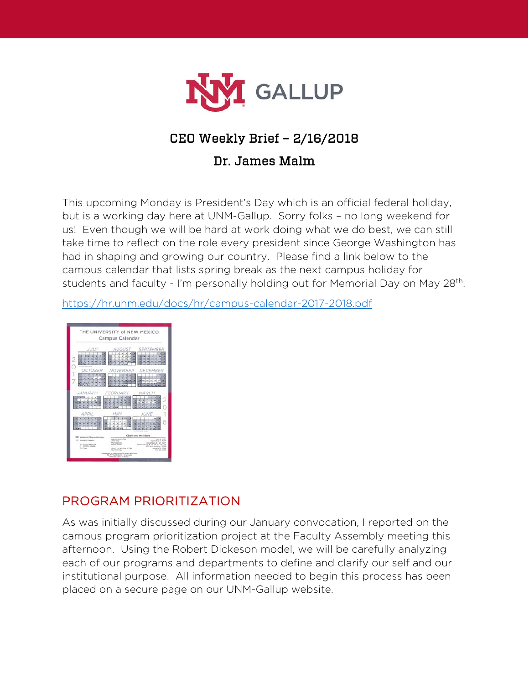

# CEO Weekly Brief – 2/16/2018

#### Dr. James Malm

This upcoming Monday is President's Day which is an official federal holiday, but is a working day here at UNM-Gallup. Sorry folks – no long weekend for us! Even though we will be hard at work doing what we do best, we can still take time to reflect on the role every president since George Washington has had in shaping and growing our country. Please find a link below to the campus calendar that lists spring break as the next campus holiday for students and faculty - I'm personally holding out for Memorial Day on May 28<sup>th</sup>.

<https://hr.unm.edu/docs/hr/campus-calendar-2017-2018.pdf>



#### PROGRAM PRIORITIZATION

As was initially discussed during our January convocation, I reported on the campus program prioritization project at the Faculty Assembly meeting this afternoon. Using the Robert Dickeson model, we will be carefully analyzing each of our programs and departments to define and clarify our self and our institutional purpose. All information needed to begin this process has been placed on a secure page on our UNM-Gallup website.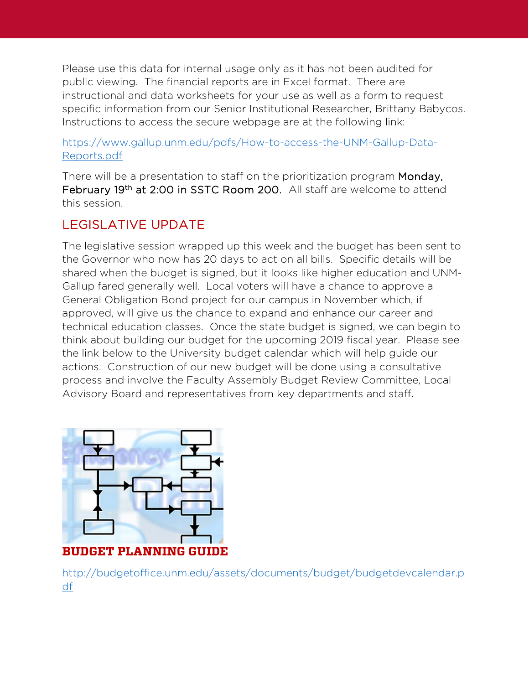Please use this data for internal usage only as it has not been audited for public viewing. The financial reports are in Excel format. There are instructional and data worksheets for your use as well as a form to request specific information from our Senior Institutional Researcher, Brittany Babycos. Instructions to access the secure webpage are at the following link:

#### [https://www.gallup.unm.edu/pdfs/How-to-access-the-UNM-Gallup-Data-](https://www.gallup.unm.edu/pdfs/How-to-access-the-UNM-Gallup-Data-Reports.pdf)[Reports.pdf](https://www.gallup.unm.edu/pdfs/How-to-access-the-UNM-Gallup-Data-Reports.pdf)

There will be a presentation to staff on the prioritization program Monday, February 19<sup>th</sup> at 2:00 in SSTC Room 200. All staff are welcome to attend this session.

## LEGISLATIVE UPDATE

The legislative session wrapped up this week and the budget has been sent to the Governor who now has 20 days to act on all bills. Specific details will be shared when the budget is signed, but it looks like higher education and UNM-Gallup fared generally well. Local voters will have a chance to approve a General Obligation Bond project for our campus in November which, if approved, will give us the chance to expand and enhance our career and technical education classes. Once the state budget is signed, we can begin to think about building our budget for the upcoming 2019 fiscal year. Please see the link below to the University budget calendar which will help guide our actions. Construction of our new budget will be done using a consultative process and involve the Faculty Assembly Budget Review Committee, Local Advisory Board and representatives from key departments and staff.



#### **BUDGET PLANNING GUIDE**

[http://budgetoffice.unm.edu/assets/documents/budget/budgetdevcalendar.p](http://budgetoffice.unm.edu/assets/documents/budget/budgetdevcalendar.pdf) [df](http://budgetoffice.unm.edu/assets/documents/budget/budgetdevcalendar.pdf)